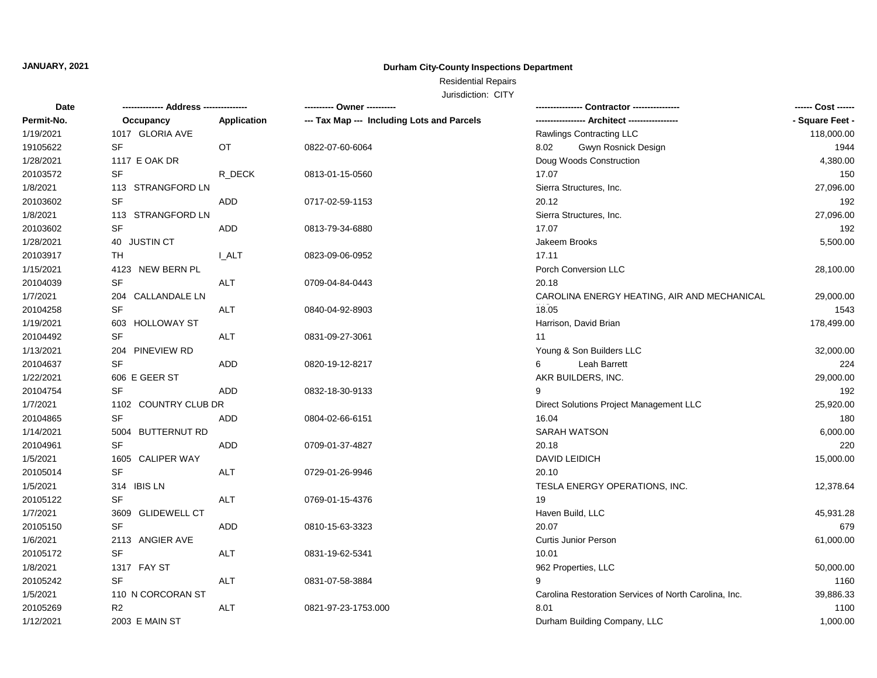## **Durham City-County Inspections Department**

# Residential Repairs

| Date       | ------------- Address -------------- |              | ---------- Owner ----------                | Contractor ----------------                           | ------ Cost ------ |
|------------|--------------------------------------|--------------|--------------------------------------------|-------------------------------------------------------|--------------------|
| Permit-No. | Occupancy                            | Application  | --- Tax Map --- Including Lots and Parcels |                                                       | - Square Feet -    |
| 1/19/2021  | 1017 GLORIA AVE                      |              |                                            | Rawlings Contracting LLC                              | 118,000.00         |
| 19105622   | <b>SF</b>                            | OT           | 0822-07-60-6064                            | 8.02<br>Gwyn Rosnick Design                           | 1944               |
| 1/28/2021  | 1117 E OAK DR                        |              |                                            | Doug Woods Construction                               | 4,380.00           |
| 20103572   | <b>SF</b>                            | R_DECK       | 0813-01-15-0560                            | 17.07                                                 | 150                |
| 1/8/2021   | 113 STRANGFORD LN                    |              |                                            | Sierra Structures, Inc.                               | 27,096.00          |
| 20103602   | <b>SF</b>                            | <b>ADD</b>   | 0717-02-59-1153                            | 20.12                                                 | 192                |
| 1/8/2021   | 113 STRANGFORD LN                    |              |                                            | Sierra Structures, Inc.                               | 27,096.00          |
| 20103602   | <b>SF</b>                            | ADD          | 0813-79-34-6880                            | 17.07                                                 | 192                |
| 1/28/2021  | 40 JUSTIN CT                         |              |                                            | Jakeem Brooks                                         | 5,500.00           |
| 20103917   | TH                                   | <b>I_ALT</b> | 0823-09-06-0952                            | 17.11                                                 |                    |
| 1/15/2021  | 4123 NEW BERN PL                     |              |                                            | Porch Conversion LLC                                  | 28,100.00          |
| 20104039   | <b>SF</b>                            | <b>ALT</b>   | 0709-04-84-0443                            | 20.18                                                 |                    |
| 1/7/2021   | 204 CALLANDALE LN                    |              |                                            | CAROLINA ENERGY HEATING, AIR AND MECHANICAL           | 29,000.00          |
| 20104258   | <b>SF</b>                            | ALT          | 0840-04-92-8903                            | 18.05                                                 | 1543               |
| 1/19/2021  | 603 HOLLOWAY ST                      |              |                                            | Harrison, David Brian                                 | 178,499.00         |
| 20104492   | <b>SF</b>                            | <b>ALT</b>   | 0831-09-27-3061                            | 11                                                    |                    |
| 1/13/2021  | 204 PINEVIEW RD                      |              |                                            | Young & Son Builders LLC                              | 32,000.00          |
| 20104637   | <b>SF</b>                            | <b>ADD</b>   | 0820-19-12-8217                            | Leah Barrett<br>6                                     | 224                |
| 1/22/2021  | 606 E GEER ST                        |              |                                            | AKR BUILDERS, INC.                                    | 29,000.00          |
| 20104754   | <b>SF</b>                            | ADD          | 0832-18-30-9133                            | 9                                                     | 192                |
| 1/7/2021   | 1102 COUNTRY CLUB DR                 |              |                                            | Direct Solutions Project Management LLC               | 25,920.00          |
| 20104865   | <b>SF</b>                            | ADD          | 0804-02-66-6151                            | 16.04                                                 | 180                |
| 1/14/2021  | 5004 BUTTERNUT RD                    |              |                                            | SARAH WATSON                                          | 6,000.00           |
| 20104961   | <b>SF</b>                            | <b>ADD</b>   | 0709-01-37-4827                            | 20.18                                                 | 220                |
| 1/5/2021   | 1605 CALIPER WAY                     |              |                                            | DAVID LEIDICH                                         | 15,000.00          |
| 20105014   | <b>SF</b>                            | <b>ALT</b>   | 0729-01-26-9946                            | 20.10                                                 |                    |
| 1/5/2021   | 314 IBIS LN                          |              |                                            | TESLA ENERGY OPERATIONS, INC.                         | 12,378.64          |
| 20105122   | <b>SF</b>                            | ALT          | 0769-01-15-4376                            | 19                                                    |                    |
| 1/7/2021   | 3609 GLIDEWELL CT                    |              |                                            | Haven Build, LLC                                      | 45,931.28          |
| 20105150   | <b>SF</b>                            | ADD          | 0810-15-63-3323                            | 20.07                                                 | 679                |
| 1/6/2021   | 2113 ANGIER AVE                      |              |                                            | <b>Curtis Junior Person</b>                           | 61,000.00          |
| 20105172   | <b>SF</b>                            | <b>ALT</b>   | 0831-19-62-5341                            | 10.01                                                 |                    |
| 1/8/2021   | 1317 FAY ST                          |              |                                            | 962 Properties, LLC                                   | 50,000.00          |
| 20105242   | SF                                   | ALT          | 0831-07-58-3884                            | 9                                                     | 1160               |
| 1/5/2021   | 110 N CORCORAN ST                    |              |                                            | Carolina Restoration Services of North Carolina, Inc. | 39,886.33          |
| 20105269   | R2                                   | <b>ALT</b>   | 0821-97-23-1753.000                        | 8.01                                                  | 1100               |
| 1/12/2021  | 2003 E MAIN ST                       |              |                                            | Durham Building Company, LLC                          | 1,000.00           |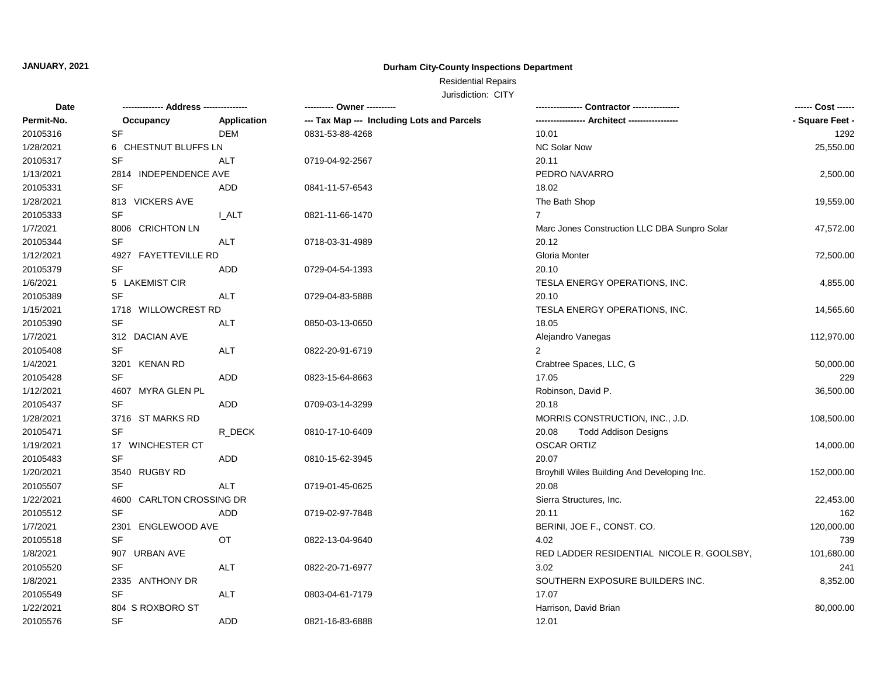## **Durham City-County Inspections Department**

# Residential Repairs

| Date       | ------------- Address -------------- |             |                                            |                                              | ------ Cost ------ |
|------------|--------------------------------------|-------------|--------------------------------------------|----------------------------------------------|--------------------|
| Permit-No. | Occupancy                            | Application | --- Tax Map --- Including Lots and Parcels |                                              | - Square Feet -    |
| 20105316   | <b>SF</b>                            | <b>DEM</b>  | 0831-53-88-4268                            | 10.01                                        | 1292               |
| 1/28/2021  | 6 CHESTNUT BLUFFS LN                 |             |                                            | <b>NC Solar Now</b>                          | 25,550.00          |
| 20105317   | <b>SF</b>                            | <b>ALT</b>  | 0719-04-92-2567                            | 20.11                                        |                    |
| 1/13/2021  | 2814 INDEPENDENCE AVE                |             |                                            | PEDRO NAVARRO                                | 2,500.00           |
| 20105331   | <b>SF</b>                            | ADD         | 0841-11-57-6543                            | 18.02                                        |                    |
| 1/28/2021  | 813 VICKERS AVE                      |             |                                            | The Bath Shop                                | 19,559.00          |
| 20105333   | SF                                   | I ALT       | 0821-11-66-1470                            | $\overline{7}$                               |                    |
| 1/7/2021   | 8006 CRICHTON LN                     |             |                                            | Marc Jones Construction LLC DBA Sunpro Solar | 47,572.00          |
| 20105344   | SF                                   | <b>ALT</b>  | 0718-03-31-4989                            | 20.12                                        |                    |
| 1/12/2021  | 4927 FAYETTEVILLE RD                 |             |                                            | Gloria Monter                                | 72,500.00          |
| 20105379   | SF                                   | <b>ADD</b>  | 0729-04-54-1393                            | 20.10                                        |                    |
| 1/6/2021   | 5 LAKEMIST CIR                       |             |                                            | TESLA ENERGY OPERATIONS, INC.                | 4,855.00           |
| 20105389   | <b>SF</b>                            | <b>ALT</b>  | 0729-04-83-5888                            | 20.10                                        |                    |
| 1/15/2021  | 1718 WILLOWCREST RD                  |             |                                            | TESLA ENERGY OPERATIONS, INC.                | 14,565.60          |
| 20105390   | SF                                   | ALT         | 0850-03-13-0650                            | 18.05                                        |                    |
| 1/7/2021   | 312 DACIAN AVE                       |             |                                            | Alejandro Vanegas                            | 112,970.00         |
| 20105408   | <b>SF</b>                            | <b>ALT</b>  | 0822-20-91-6719                            | $\overline{2}$                               |                    |
| 1/4/2021   | 3201 KENAN RD                        |             |                                            | Crabtree Spaces, LLC, G                      | 50,000.00          |
| 20105428   | SF                                   | <b>ADD</b>  | 0823-15-64-8663                            | 17.05                                        | 229                |
| 1/12/2021  | 4607 MYRA GLEN PL                    |             |                                            | Robinson, David P.                           | 36,500.00          |
| 20105437   | <b>SF</b>                            | ADD.        | 0709-03-14-3299                            | 20.18                                        |                    |
| 1/28/2021  | 3716 ST MARKS RD                     |             |                                            | MORRIS CONSTRUCTION, INC., J.D.              | 108,500.00         |
| 20105471   | <b>SF</b>                            | R DECK      | 0810-17-10-6409                            | 20.08<br><b>Todd Addison Designs</b>         |                    |
| 1/19/2021  | 17 WINCHESTER CT                     |             |                                            | <b>OSCAR ORTIZ</b>                           | 14,000.00          |
| 20105483   | <b>SF</b>                            | ADD         | 0810-15-62-3945                            | 20.07                                        |                    |
| 1/20/2021  | 3540 RUGBY RD                        |             |                                            | Broyhill Wiles Building And Developing Inc.  | 152,000.00         |
| 20105507   | <b>SF</b>                            | <b>ALT</b>  | 0719-01-45-0625                            | 20.08                                        |                    |
| 1/22/2021  | 4600 CARLTON CROSSING DR             |             |                                            | Sierra Structures, Inc.                      | 22,453.00          |
| 20105512   | SF                                   | <b>ADD</b>  | 0719-02-97-7848                            | 20.11                                        | 162                |
| 1/7/2021   | 2301<br>ENGLEWOOD AVE                |             |                                            | BERINI, JOE F., CONST. CO.                   | 120,000.00         |
| 20105518   | <b>SF</b>                            | <b>OT</b>   | 0822-13-04-9640                            | 4.02                                         | 739                |
| 1/8/2021   | 907 URBAN AVE                        |             |                                            | RED LADDER RESIDENTIAL NICOLE R. GOOLSBY,    | 101,680.00         |
| 20105520   | <b>SF</b>                            | <b>ALT</b>  | 0822-20-71-6977                            | 3.02                                         | 241                |
| 1/8/2021   | 2335 ANTHONY DR                      |             |                                            | SOUTHERN EXPOSURE BUILDERS INC.              | 8,352.00           |
| 20105549   | SF                                   | ALT         | 0803-04-61-7179                            | 17.07                                        |                    |
| 1/22/2021  | 804 S ROXBORO ST                     |             |                                            | Harrison, David Brian                        | 80,000.00          |
| 20105576   | <b>SF</b>                            | <b>ADD</b>  | 0821-16-83-6888                            | 12.01                                        |                    |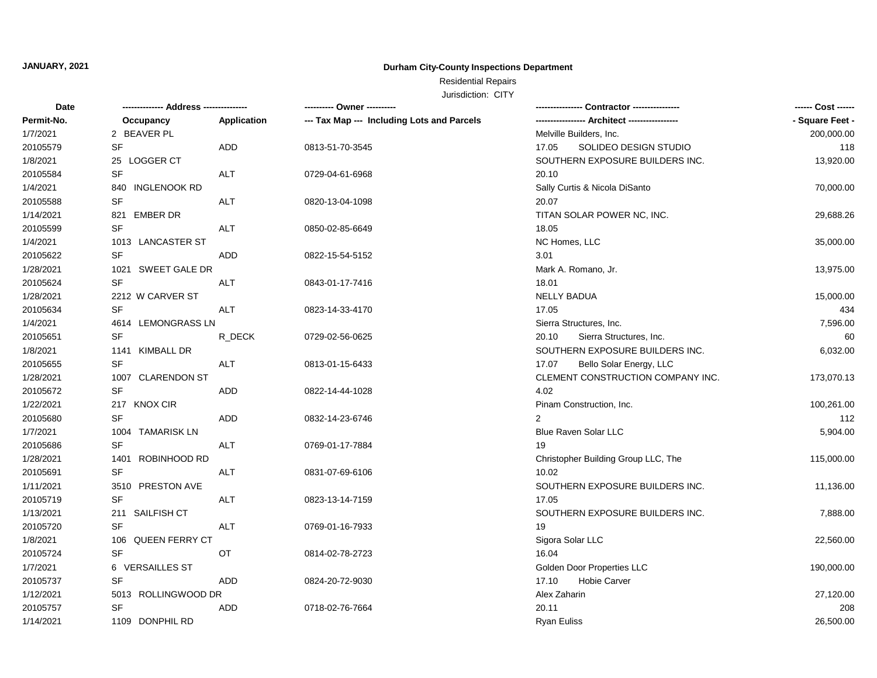## **Durham City-County Inspections Department**

# Residential Repairs

| <b>Date</b> | -------------- Address --- | ------------ | ---------- Owner ----------                |                                     | ------ Cost ------ |
|-------------|----------------------------|--------------|--------------------------------------------|-------------------------------------|--------------------|
| Permit-No.  | Occupancy                  | Application  | --- Tax Map --- Including Lots and Parcels |                                     | - Square Feet -    |
| 1/7/2021    | 2 BEAVER PL                |              |                                            | Melville Builders, Inc.             | 200,000.00         |
| 20105579    | SF                         | ADD          | 0813-51-70-3545                            | 17.05<br>SOLIDEO DESIGN STUDIO      | 118                |
| 1/8/2021    | 25 LOGGER CT               |              |                                            | SOUTHERN EXPOSURE BUILDERS INC.     | 13,920.00          |
| 20105584    | SF                         | ALT          | 0729-04-61-6968                            | 20.10                               |                    |
| 1/4/2021    | 840 INGLENOOK RD           |              |                                            | Sally Curtis & Nicola DiSanto       | 70,000.00          |
| 20105588    | SF                         | <b>ALT</b>   | 0820-13-04-1098                            | 20.07                               |                    |
| 1/14/2021   | 821 EMBER DR               |              |                                            | TITAN SOLAR POWER NC, INC.          | 29,688.26          |
| 20105599    | SF                         | ALT          | 0850-02-85-6649                            | 18.05                               |                    |
| 1/4/2021    | 1013 LANCASTER ST          |              |                                            | NC Homes, LLC                       | 35,000.00          |
| 20105622    | <b>SF</b>                  | <b>ADD</b>   | 0822-15-54-5152                            | 3.01                                |                    |
| 1/28/2021   | 1021 SWEET GALE DR         |              |                                            | Mark A. Romano, Jr.                 | 13,975.00          |
| 20105624    | <b>SF</b>                  | <b>ALT</b>   | 0843-01-17-7416                            | 18.01                               |                    |
| 1/28/2021   | 2212 W CARVER ST           |              |                                            | <b>NELLY BADUA</b>                  | 15,000.00          |
| 20105634    | <b>SF</b>                  | <b>ALT</b>   | 0823-14-33-4170                            | 17.05                               | 434                |
| 1/4/2021    | 4614 LEMONGRASS LN         |              |                                            | Sierra Structures, Inc.             | 7,596.00           |
| 20105651    | SF                         | R_DECK       | 0729-02-56-0625                            | Sierra Structures, Inc.<br>20.10    | 60                 |
| 1/8/2021    | 1141 KIMBALL DR            |              |                                            | SOUTHERN EXPOSURE BUILDERS INC.     | 6,032.00           |
| 20105655    | <b>SF</b>                  | ALT          | 0813-01-15-6433                            | 17.07<br>Bello Solar Energy, LLC    |                    |
| 1/28/2021   | 1007 CLARENDON ST          |              |                                            | CLEMENT CONSTRUCTION COMPANY INC.   | 173,070.13         |
| 20105672    | SF                         | <b>ADD</b>   | 0822-14-44-1028                            | 4.02                                |                    |
| 1/22/2021   | 217 KNOX CIR               |              |                                            | Pinam Construction, Inc.            | 100,261.00         |
| 20105680    | <b>SF</b>                  | ADD          | 0832-14-23-6746                            | 2                                   | 112                |
| 1/7/2021    | 1004 TAMARISK LN           |              |                                            | Blue Raven Solar LLC                | 5,904.00           |
| 20105686    | SF                         | ALT          | 0769-01-17-7884                            | 19                                  |                    |
| 1/28/2021   | 1401 ROBINHOOD RD          |              |                                            | Christopher Building Group LLC, The | 115,000.00         |
| 20105691    | SF                         | <b>ALT</b>   | 0831-07-69-6106                            | 10.02                               |                    |
| 1/11/2021   | 3510 PRESTON AVE           |              |                                            | SOUTHERN EXPOSURE BUILDERS INC.     | 11,136.00          |
| 20105719    | <b>SF</b>                  | <b>ALT</b>   | 0823-13-14-7159                            | 17.05                               |                    |
| 1/13/2021   | 211 SAILFISH CT            |              |                                            | SOUTHERN EXPOSURE BUILDERS INC.     | 7,888.00           |
| 20105720    | <b>SF</b>                  | ALT          | 0769-01-16-7933                            | 19                                  |                    |
| 1/8/2021    | 106 QUEEN FERRY CT         |              |                                            | Sigora Solar LLC                    | 22,560.00          |
| 20105724    | SF                         | OT           | 0814-02-78-2723                            | 16.04                               |                    |
| 1/7/2021    | 6 VERSAILLES ST            |              |                                            | Golden Door Properties LLC          | 190,000.00         |
| 20105737    | SF                         | ADD          | 0824-20-72-9030                            | 17.10<br>Hobie Carver               |                    |
| 1/12/2021   | 5013 ROLLINGWOOD DR        |              |                                            | Alex Zaharin                        | 27,120.00          |
| 20105757    | SF                         | ADD          | 0718-02-76-7664                            | 20.11                               | 208                |
| 1/14/2021   | 1109 DONPHIL RD            |              |                                            | <b>Ryan Euliss</b>                  | 26,500.00          |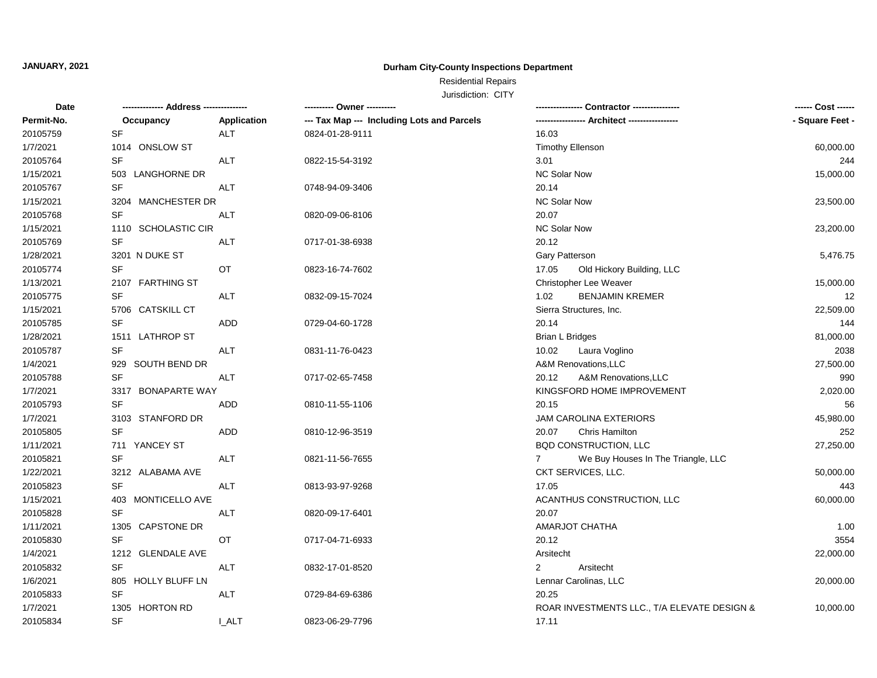## **Durham City-County Inspections Department**

# Residential Repairs

| Date       | -------------- Address --------------- |              | ---------- Owner ----------                | Contractor ----------------                       | ------ Cost ------ |
|------------|----------------------------------------|--------------|--------------------------------------------|---------------------------------------------------|--------------------|
| Permit-No. | Occupancy                              | Application  | --- Tax Map --- Including Lots and Parcels | --- Architect -----                               | - Square Feet -    |
| 20105759   | <b>SF</b>                              | <b>ALT</b>   | 0824-01-28-9111                            | 16.03                                             |                    |
| 1/7/2021   | 1014 ONSLOW ST                         |              |                                            | <b>Timothy Ellenson</b>                           | 60,000.00          |
| 20105764   | SF                                     | ALT          | 0822-15-54-3192                            | 3.01                                              | 244                |
| 1/15/2021  | 503 LANGHORNE DR                       |              |                                            | <b>NC Solar Now</b>                               | 15,000.00          |
| 20105767   | SF                                     | <b>ALT</b>   | 0748-94-09-3406                            | 20.14                                             |                    |
| 1/15/2021  | 3204 MANCHESTER DR                     |              |                                            | <b>NC Solar Now</b>                               | 23,500.00          |
| 20105768   | SF                                     | <b>ALT</b>   | 0820-09-06-8106                            | 20.07                                             |                    |
| 1/15/2021  | 1110 SCHOLASTIC CIR                    |              |                                            | <b>NC Solar Now</b>                               | 23,200.00          |
| 20105769   | SF                                     | ALT          | 0717-01-38-6938                            | 20.12                                             |                    |
| 1/28/2021  | 3201 N DUKE ST                         |              |                                            | Gary Patterson                                    | 5,476.75           |
| 20105774   | <b>SF</b>                              | OT           | 0823-16-74-7602                            | 17.05<br>Old Hickory Building, LLC                |                    |
| 1/13/2021  | 2107 FARTHING ST                       |              |                                            | Christopher Lee Weaver                            | 15,000.00          |
| 20105775   | SF                                     | ALT          | 0832-09-15-7024                            | <b>BENJAMIN KREMER</b><br>1.02                    | 12                 |
| 1/15/2021  | 5706 CATSKILL CT                       |              |                                            | Sierra Structures, Inc.                           | 22,509.00          |
| 20105785   | <b>SF</b>                              | <b>ADD</b>   | 0729-04-60-1728                            | 20.14                                             | 144                |
| 1/28/2021  | 1511 LATHROP ST                        |              |                                            | Brian L Bridges                                   | 81,000.00          |
| 20105787   | <b>SF</b>                              | ALT          | 0831-11-76-0423                            | 10.02<br>Laura Voglino                            | 2038               |
| 1/4/2021   | 929 SOUTH BEND DR                      |              |                                            | A&M Renovations, LLC                              | 27,500.00          |
| 20105788   | SF                                     | ALT          | 0717-02-65-7458                            | A&M Renovations, LLC<br>20.12                     | 990                |
| 1/7/2021   | 3317 BONAPARTE WAY                     |              |                                            | KINGSFORD HOME IMPROVEMENT                        | 2,020.00           |
| 20105793   | <b>SF</b>                              | ADD          | 0810-11-55-1106                            | 20.15                                             | 56                 |
| 1/7/2021   | 3103 STANFORD DR                       |              |                                            | JAM CAROLINA EXTERIORS                            | 45,980.00          |
| 20105805   | <b>SF</b>                              | ADD          | 0810-12-96-3519                            | <b>Chris Hamilton</b><br>20.07                    | 252                |
| 1/11/2021  | 711 YANCEY ST                          |              |                                            | BQD CONSTRUCTION, LLC                             | 27,250.00          |
| 20105821   | <b>SF</b>                              | <b>ALT</b>   | 0821-11-56-7655                            | We Buy Houses In The Triangle, LLC<br>$7^{\circ}$ |                    |
| 1/22/2021  | 3212 ALABAMA AVE                       |              |                                            | CKT SERVICES, LLC.                                | 50,000.00          |
| 20105823   | SF                                     | ALT          | 0813-93-97-9268                            | 17.05                                             | 443                |
| 1/15/2021  | 403 MONTICELLO AVE                     |              |                                            | ACANTHUS CONSTRUCTION, LLC                        | 60,000.00          |
| 20105828   | SF                                     | ALT          | 0820-09-17-6401                            | 20.07                                             |                    |
| 1/11/2021  | 1305 CAPSTONE DR                       |              |                                            | AMARJOT CHATHA                                    | 1.00               |
| 20105830   | <b>SF</b>                              | OT           | 0717-04-71-6933                            | 20.12                                             | 3554               |
| 1/4/2021   | 1212 GLENDALE AVE                      |              |                                            | Arsitecht                                         | 22,000.00          |
| 20105832   | SF                                     | ALT          | 0832-17-01-8520                            | $\overline{2}$<br>Arsitecht                       |                    |
| 1/6/2021   | 805 HOLLY BLUFF LN                     |              |                                            | Lennar Carolinas, LLC                             | 20,000.00          |
| 20105833   | <b>SF</b>                              | <b>ALT</b>   | 0729-84-69-6386                            | 20.25                                             |                    |
| 1/7/2021   | 1305 HORTON RD                         |              |                                            | ROAR INVESTMENTS LLC., T/A ELEVATE DESIGN &       | 10,000.00          |
| 20105834   | <b>SF</b>                              | <b>I_ALT</b> | 0823-06-29-7796                            | 17.11                                             |                    |
|            |                                        |              |                                            |                                                   |                    |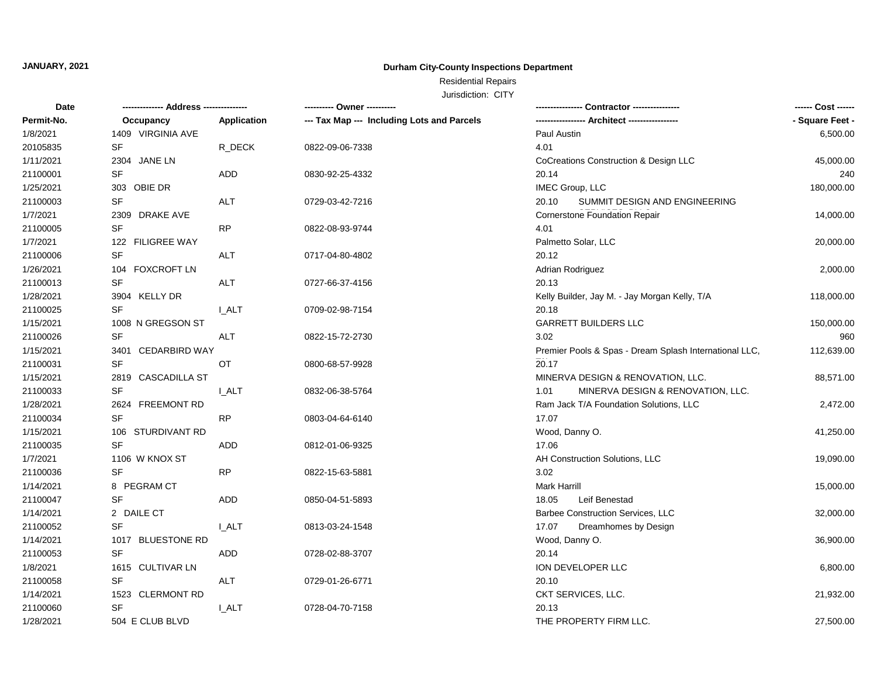## **Durham City-County Inspections Department**

# Residential Repairs

| Date       | -------------- Address --------------- |              | ---------- Owner ----------                |                                                        | ------ Cost ------ |
|------------|----------------------------------------|--------------|--------------------------------------------|--------------------------------------------------------|--------------------|
| Permit-No. | Occupancy                              | Application  | --- Tax Map --- Including Lots and Parcels | ---------------- Architect ----------------            | - Square Feet -    |
| 1/8/2021   | 1409 VIRGINIA AVE                      |              |                                            | Paul Austin                                            | 6,500.00           |
| 20105835   | <b>SF</b>                              | R_DECK       | 0822-09-06-7338                            | 4.01                                                   |                    |
| 1/11/2021  | 2304 JANE LN                           |              |                                            | CoCreations Construction & Design LLC                  | 45,000.00          |
| 21100001   | <b>SF</b>                              | ADD          | 0830-92-25-4332                            | 20.14                                                  | 240                |
| 1/25/2021  | 303 OBIE DR                            |              |                                            | IMEC Group, LLC                                        | 180,000.00         |
| 21100003   | <b>SF</b>                              | ALT          | 0729-03-42-7216                            | 20.10<br>SUMMIT DESIGN AND ENGINEERING                 |                    |
| 1/7/2021   | 2309 DRAKE AVE                         |              |                                            | <b>Cornerstone Foundation Repair</b>                   | 14,000.00          |
| 21100005   | SF                                     | <b>RP</b>    | 0822-08-93-9744                            | 4.01                                                   |                    |
| 1/7/2021   | 122 FILIGREE WAY                       |              |                                            | Palmetto Solar, LLC                                    | 20,000.00          |
| 21100006   | <b>SF</b>                              | ALT          | 0717-04-80-4802                            | 20.12                                                  |                    |
| 1/26/2021  | 104 FOXCROFT LN                        |              |                                            | Adrian Rodriguez                                       | 2,000.00           |
| 21100013   | <b>SF</b>                              | <b>ALT</b>   | 0727-66-37-4156                            | 20.13                                                  |                    |
| 1/28/2021  | 3904 KELLY DR                          |              |                                            | Kelly Builder, Jay M. - Jay Morgan Kelly, T/A          | 118,000.00         |
| 21100025   | <b>SF</b>                              | I ALT        | 0709-02-98-7154                            | 20.18                                                  |                    |
| 1/15/2021  | 1008 N GREGSON ST                      |              |                                            | <b>GARRETT BUILDERS LLC</b>                            | 150,000.00         |
| 21100026   | <b>SF</b>                              | <b>ALT</b>   | 0822-15-72-2730                            | 3.02                                                   | 960                |
| 1/15/2021  | 3401 CEDARBIRD WAY                     |              |                                            | Premier Pools & Spas - Dream Splash International LLC, | 112,639.00         |
| 21100031   | <b>SF</b>                              | ОT           | 0800-68-57-9928                            | 20.17                                                  |                    |
| 1/15/2021  | 2819 CASCADILLA ST                     |              |                                            | MINERVA DESIGN & RENOVATION, LLC.                      | 88,571.00          |
| 21100033   | <b>SF</b>                              | <b>L_ALT</b> | 0832-06-38-5764                            | MINERVA DESIGN & RENOVATION, LLC.<br>1.01              |                    |
| 1/28/2021  | 2624 FREEMONT RD                       |              |                                            | Ram Jack T/A Foundation Solutions, LLC                 | 2,472.00           |
| 21100034   | <b>SF</b>                              | <b>RP</b>    | 0803-04-64-6140                            | 17.07                                                  |                    |
| 1/15/2021  | 106 STURDIVANT RD                      |              |                                            | Wood, Danny O.                                         | 41,250.00          |
| 21100035   | <b>SF</b>                              | ADD          | 0812-01-06-9325                            | 17.06                                                  |                    |
| 1/7/2021   | 1106 W KNOX ST                         |              |                                            | AH Construction Solutions, LLC                         | 19,090.00          |
| 21100036   | <b>SF</b>                              | RP           | 0822-15-63-5881                            | 3.02                                                   |                    |
| 1/14/2021  | 8 PEGRAM CT                            |              |                                            | Mark Harrill                                           | 15,000.00          |
| 21100047   | <b>SF</b>                              | ADD          | 0850-04-51-5893                            | Leif Benestad<br>18.05                                 |                    |
| 1/14/2021  | 2 DAILE CT                             |              |                                            | Barbee Construction Services, LLC                      | 32,000.00          |
| 21100052   | <b>SF</b>                              | <b>I_ALT</b> | 0813-03-24-1548                            | 17.07<br>Dreamhomes by Design                          |                    |
| 1/14/2021  | 1017 BLUESTONE RD                      |              |                                            | Wood, Danny O.                                         | 36,900.00          |
| 21100053   | SF                                     | ADD          | 0728-02-88-3707                            | 20.14                                                  |                    |
| 1/8/2021   | 1615 CULTIVAR LN                       |              |                                            | ION DEVELOPER LLC                                      | 6,800.00           |
| 21100058   | SF                                     | <b>ALT</b>   | 0729-01-26-6771                            | 20.10                                                  |                    |
| 1/14/2021  | 1523 CLERMONT RD                       |              |                                            | CKT SERVICES, LLC.                                     | 21,932.00          |
| 21100060   | SF                                     | <b>I_ALT</b> | 0728-04-70-7158                            | 20.13                                                  |                    |
| 1/28/2021  | 504 E CLUB BLVD                        |              |                                            | THE PROPERTY FIRM LLC.                                 | 27,500.00          |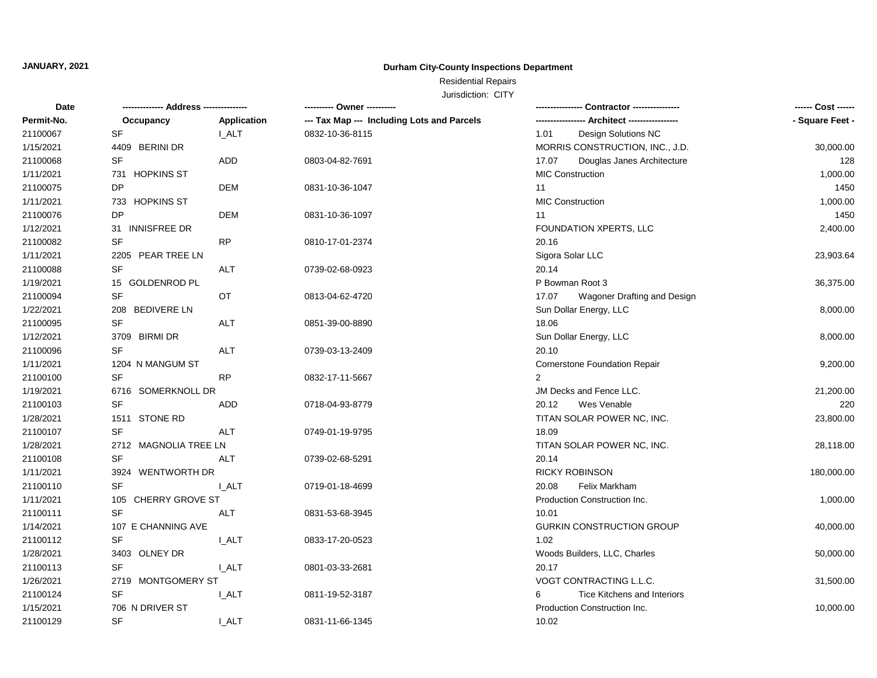## **Durham City-County Inspections Department**

# Residential Repairs

| Date       | -------------- Address --<br>------------ |              | ---------- Owner ----------                | ⋅ Contractor ----------------           | ------ Cost ------ |
|------------|-------------------------------------------|--------------|--------------------------------------------|-----------------------------------------|--------------------|
| Permit-No. | Occupancy                                 | Application  | --- Tax Map --- Including Lots and Parcels |                                         | - Square Feet -    |
| 21100067   | SF                                        | <b>I_ALT</b> | 0832-10-36-8115                            | Design Solutions NC<br>1.01             |                    |
| 1/15/2021  | 4409 BERINI DR                            |              |                                            | MORRIS CONSTRUCTION, INC., J.D.         | 30,000.00          |
| 21100068   | <b>SF</b>                                 | ADD          | 0803-04-82-7691                            | 17.07<br>Douglas Janes Architecture     | 128                |
| 1/11/2021  | 731 HOPKINS ST                            |              |                                            | <b>MIC Construction</b>                 | 1,000.00           |
| 21100075   | <b>DP</b>                                 | DEM          | 0831-10-36-1047                            | 11                                      | 1450               |
| 1/11/2021  | 733 HOPKINS ST                            |              |                                            | <b>MIC Construction</b>                 | 1,000.00           |
| 21100076   | DP                                        | <b>DEM</b>   | 0831-10-36-1097                            | 11                                      | 1450               |
| 1/12/2021  | 31 INNISFREE DR                           |              |                                            | FOUNDATION XPERTS, LLC                  | 2,400.00           |
| 21100082   | <b>SF</b>                                 | <b>RP</b>    | 0810-17-01-2374                            | 20.16                                   |                    |
| 1/11/2021  | 2205 PEAR TREE LN                         |              |                                            | Sigora Solar LLC                        | 23,903.64          |
| 21100088   | <b>SF</b>                                 | <b>ALT</b>   | 0739-02-68-0923                            | 20.14                                   |                    |
| 1/19/2021  | 15 GOLDENROD PL                           |              |                                            | P Bowman Root 3                         | 36,375.00          |
| 21100094   | SF                                        | OT           | 0813-04-62-4720                            | 17.07<br>Wagoner Drafting and Design    |                    |
| 1/22/2021  | 208 BEDIVERE LN                           |              |                                            | Sun Dollar Energy, LLC                  | 8,000.00           |
| 21100095   | SF                                        | ALT          | 0851-39-00-8890                            | 18.06                                   |                    |
| 1/12/2021  | 3709 BIRMI DR                             |              |                                            | Sun Dollar Energy, LLC                  | 8,000.00           |
| 21100096   | <b>SF</b>                                 | <b>ALT</b>   | 0739-03-13-2409                            | 20.10                                   |                    |
| 1/11/2021  | 1204 N MANGUM ST                          |              |                                            | <b>Cornerstone Foundation Repair</b>    | 9,200.00           |
| 21100100   | <b>SF</b>                                 | <b>RP</b>    | 0832-17-11-5667                            | 2                                       |                    |
| 1/19/2021  | 6716 SOMERKNOLL DR                        |              |                                            | JM Decks and Fence LLC.                 | 21,200.00          |
| 21100103   | <b>SF</b>                                 | <b>ADD</b>   | 0718-04-93-8779                            | Wes Venable<br>20.12                    | 220                |
| 1/28/2021  | 1511 STONE RD                             |              |                                            | TITAN SOLAR POWER NC, INC.              | 23,800.00          |
| 21100107   | <b>SF</b>                                 | ALT          | 0749-01-19-9795                            | 18.09                                   |                    |
| 1/28/2021  | 2712 MAGNOLIA TREE LN                     |              |                                            | TITAN SOLAR POWER NC, INC.              | 28,118.00          |
| 21100108   | <b>SF</b>                                 | <b>ALT</b>   | 0739-02-68-5291                            | 20.14                                   |                    |
| 1/11/2021  | 3924 WENTWORTH DR                         |              |                                            | <b>RICKY ROBINSON</b>                   | 180,000.00         |
| 21100110   | <b>SF</b>                                 | <b>LALT</b>  | 0719-01-18-4699                            | Felix Markham<br>20.08                  |                    |
| 1/11/2021  | 105 CHERRY GROVE ST                       |              |                                            | Production Construction Inc.            | 1,000.00           |
| 21100111   | <b>SF</b>                                 | <b>ALT</b>   | 0831-53-68-3945                            | 10.01                                   |                    |
| 1/14/2021  | 107 E CHANNING AVE                        |              |                                            | <b>GURKIN CONSTRUCTION GROUP</b>        | 40,000.00          |
| 21100112   | <b>SF</b>                                 | I ALT        | 0833-17-20-0523                            | 1.02                                    |                    |
| 1/28/2021  | 3403 OLNEY DR                             |              |                                            | Woods Builders, LLC, Charles            | 50,000.00          |
| 21100113   | SF                                        | <b>I_ALT</b> | 0801-03-33-2681                            | 20.17                                   |                    |
| 1/26/2021  | 2719 MONTGOMERY ST                        |              |                                            | VOGT CONTRACTING L.L.C.                 | 31,500.00          |
| 21100124   | SF                                        | <b>LALT</b>  | 0811-19-52-3187                            | <b>Tice Kitchens and Interiors</b><br>6 |                    |
| 1/15/2021  | 706 N DRIVER ST                           |              |                                            | Production Construction Inc.            | 10,000.00          |
| 21100129   | <b>SF</b>                                 | I ALT        | 0831-11-66-1345                            | 10.02                                   |                    |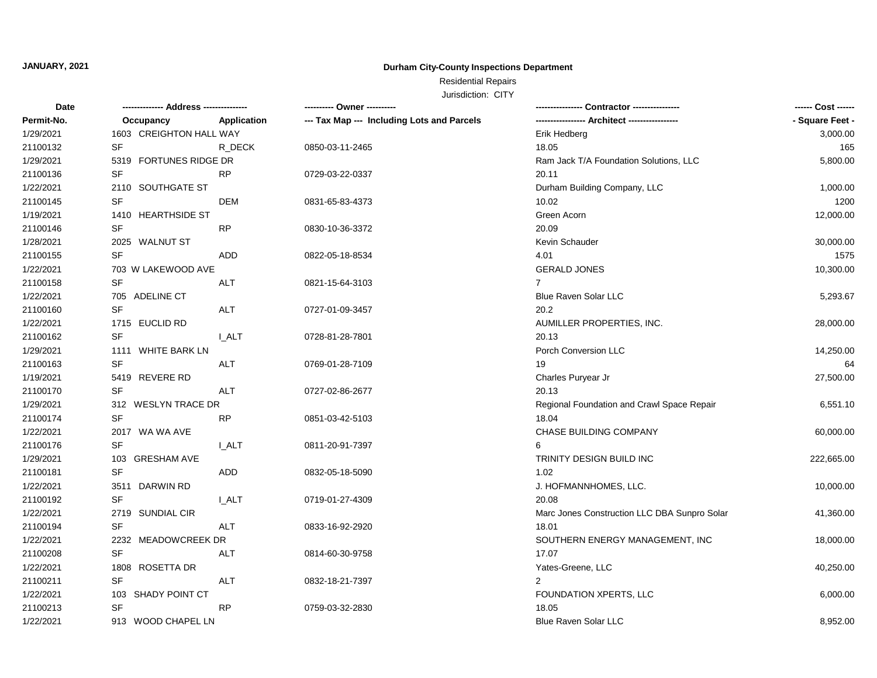## **Durham City-County Inspections Department**

# Residential Repairs

| <b>Date</b> |                         |              |                                            |                                              | ------ Cost ------ |
|-------------|-------------------------|--------------|--------------------------------------------|----------------------------------------------|--------------------|
| Permit-No.  | Occupancy               | Application  | --- Tax Map --- Including Lots and Parcels |                                              | - Square Feet -    |
| 1/29/2021   | 1603 CREIGHTON HALL WAY |              |                                            | Erik Hedberg                                 | 3,000.00           |
| 21100132    | SF                      | R DECK       | 0850-03-11-2465                            | 18.05                                        | 165                |
| 1/29/2021   | 5319 FORTUNES RIDGE DR  |              |                                            | Ram Jack T/A Foundation Solutions, LLC       | 5,800.00           |
| 21100136    | SF                      | <b>RP</b>    | 0729-03-22-0337                            | 20.11                                        |                    |
| 1/22/2021   | 2110 SOUTHGATE ST       |              |                                            | Durham Building Company, LLC                 | 1,000.00           |
| 21100145    | SF                      | <b>DEM</b>   | 0831-65-83-4373                            | 10.02                                        | 1200               |
| 1/19/2021   | 1410 HEARTHSIDE ST      |              |                                            | Green Acorn                                  | 12,000.00          |
| 21100146    | SF                      | <b>RP</b>    | 0830-10-36-3372                            | 20.09                                        |                    |
| 1/28/2021   | 2025 WALNUT ST          |              |                                            | Kevin Schauder                               | 30,000.00          |
| 21100155    | <b>SF</b>               | ADD          | 0822-05-18-8534                            | 4.01                                         | 1575               |
| 1/22/2021   | 703 W LAKEWOOD AVE      |              |                                            | <b>GERALD JONES</b>                          | 10,300.00          |
| 21100158    | <b>SF</b>               | <b>ALT</b>   | 0821-15-64-3103                            | $\overline{7}$                               |                    |
| 1/22/2021   | 705 ADELINE CT          |              |                                            | Blue Raven Solar LLC                         | 5,293.67           |
| 21100160    | <b>SF</b>               | ALT          | 0727-01-09-3457                            | 20.2                                         |                    |
| 1/22/2021   | 1715 EUCLID RD          |              |                                            | AUMILLER PROPERTIES, INC.                    | 28,000.00          |
| 21100162    | <b>SF</b>               | I_ALT        | 0728-81-28-7801                            | 20.13                                        |                    |
| 1/29/2021   | 1111 WHITE BARK LN      |              |                                            | Porch Conversion LLC                         | 14,250.00          |
| 21100163    | <b>SF</b>               | <b>ALT</b>   | 0769-01-28-7109                            | 19                                           | 64                 |
| 1/19/2021   | 5419 REVERE RD          |              |                                            | Charles Puryear Jr                           | 27,500.00          |
| 21100170    | <b>SF</b>               | <b>ALT</b>   | 0727-02-86-2677                            | 20.13                                        |                    |
| 1/29/2021   | 312 WESLYN TRACE DR     |              |                                            | Regional Foundation and Crawl Space Repair   | 6,551.10           |
| 21100174    | <b>SF</b>               | <b>RP</b>    | 0851-03-42-5103                            | 18.04                                        |                    |
| 1/22/2021   | 2017 WA WA AVE          |              |                                            | CHASE BUILDING COMPANY                       | 60,000.00          |
| 21100176    | SF                      | <b>LALT</b>  | 0811-20-91-7397                            | 6                                            |                    |
| 1/29/2021   | 103 GRESHAM AVE         |              |                                            | TRINITY DESIGN BUILD INC                     | 222,665.00         |
| 21100181    | <b>SF</b>               | ADD          | 0832-05-18-5090                            | 1.02                                         |                    |
| 1/22/2021   | 3511 DARWIN RD          |              |                                            | J. HOFMANNHOMES, LLC.                        | 10,000.00          |
| 21100192    | <b>SF</b>               | <b>I_ALT</b> | 0719-01-27-4309                            | 20.08                                        |                    |
| 1/22/2021   | 2719 SUNDIAL CIR        |              |                                            | Marc Jones Construction LLC DBA Sunpro Solar | 41,360.00          |
| 21100194    | <b>SF</b>               | <b>ALT</b>   | 0833-16-92-2920                            | 18.01                                        |                    |
| 1/22/2021   | 2232 MEADOWCREEK DR     |              |                                            | SOUTHERN ENERGY MANAGEMENT, INC              | 18,000.00          |
| 21100208    | SF                      | ALT          | 0814-60-30-9758                            | 17.07                                        |                    |
| 1/22/2021   | 1808 ROSETTA DR         |              |                                            | Yates-Greene, LLC                            | 40,250.00          |
| 21100211    | SF                      | ALT          | 0832-18-21-7397                            | 2                                            |                    |
| 1/22/2021   | 103 SHADY POINT CT      |              |                                            | FOUNDATION XPERTS, LLC                       | 6,000.00           |
| 21100213    | SF                      | <b>RP</b>    | 0759-03-32-2830                            | 18.05                                        |                    |
| 1/22/2021   | 913 WOOD CHAPEL LN      |              |                                            | Blue Raven Solar LLC                         | 8,952.00           |